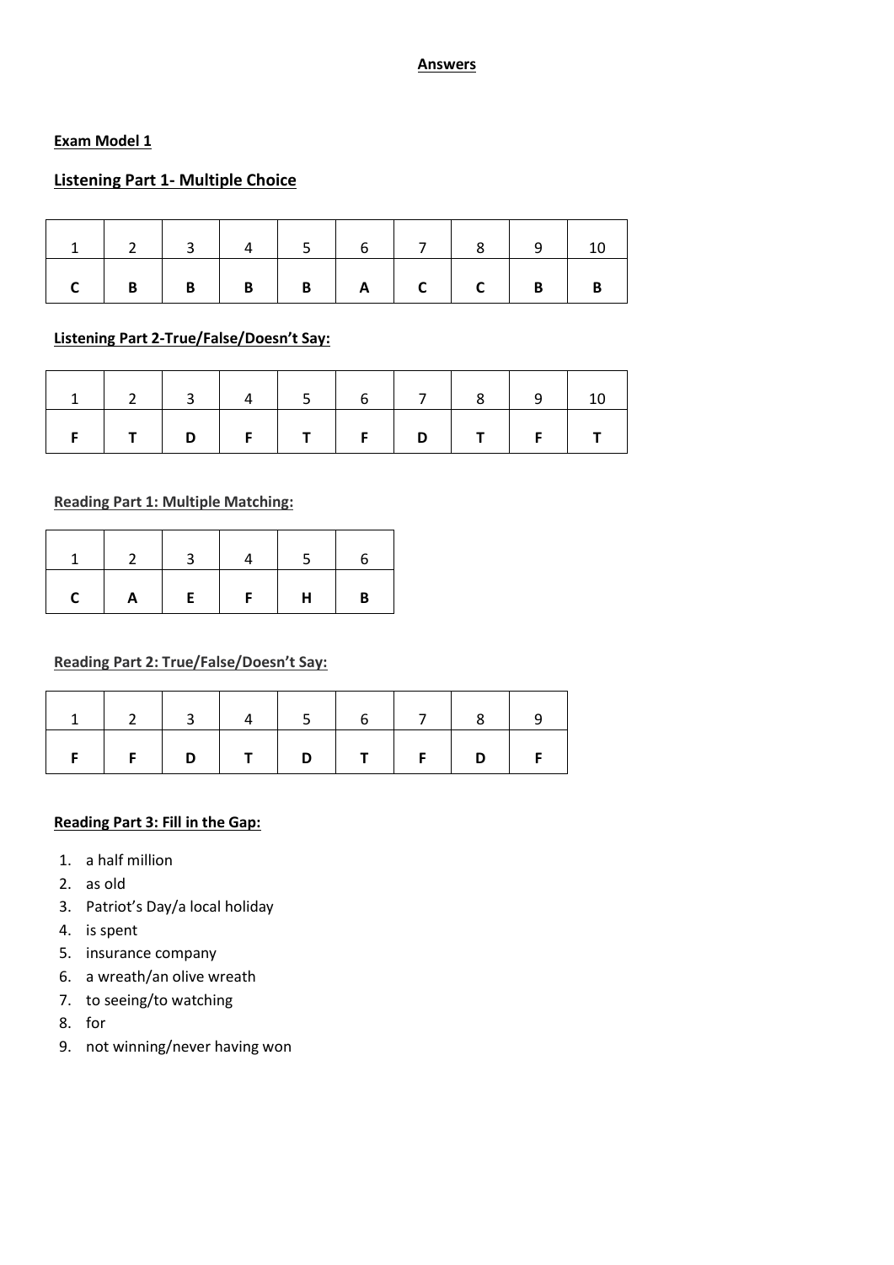#### **Answers**

### **Exam Model 1**

## **Listening Part 1- Multiple Choice**

| 1 1 2 3 4 5 6 7 8 9 10 |  |  |  |  |  |
|------------------------|--|--|--|--|--|
|                        |  |  |  |  |  |

# **Listening Part 2-True/False/Doesn't Say:**

|              | 12344567891 |  |  |  |  |
|--------------|-------------|--|--|--|--|
| $\mathsf{F}$ |             |  |  |  |  |

### **Reading Part 1: Multiple Matching:**

|          | $\mathbf{1}$<br>- 11 |                              |               |   |              |
|----------|----------------------|------------------------------|---------------|---|--------------|
| <b>C</b> | $\mathbf{A}$         | $\mathbb{R}^n$<br>$E = \Box$ | $F \parallel$ | H | $\mathbf{B}$ |

### **Reading Part 2: True/False/Doesn't Say:**

| $F   F   D   T   D   T   F   D   F$ |  |  |  |  |
|-------------------------------------|--|--|--|--|

### **Reading Part 3: Fill in the Gap:**

- 1. a half million
- 2. as old
- 3. Patriot's Day/a local holiday
- 4. is spent
- 5. insurance company
- 6. a wreath/an olive wreath
- 7. to seeing/to watching
- 8. for
- 9. not winning/never having won